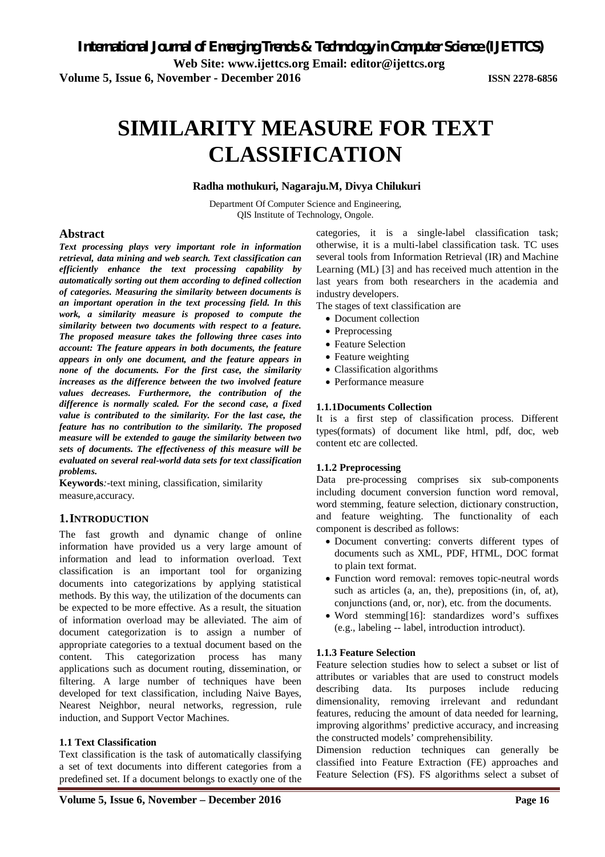**Web Site: www.ijettcs.org Email: editor@ijettcs.org** 

**Volume 5, Issue 6, November - December 2016 ISSN 2278-6856**

# **SIMILARITY MEASURE FOR TEXT CLASSIFICATION**

#### **Radha mothukuri, Nagaraju.M, Divya Chilukuri**

Department Of Computer Science and Engineering, QIS Institute of Technology, Ongole.

#### **Abstract**

*Text processing plays very important role in information retrieval, data mining and web search. Text classification can efficiently enhance the text processing capability by automatically sorting out them according to defined collection of categories. Measuring the similarity between documents is an important operation in the text processing field. In this work, a similarity measure is proposed to compute the similarity between two documents with respect to a feature. The proposed measure takes the following three cases into account: The feature appears in both documents, the feature appears in only one document, and the feature appears in none of the documents. For the first case, the similarity increases as the difference between the two involved feature values decreases. Furthermore, the contribution of the difference is normally scaled. For the second case, a fixed value is contributed to the similarity. For the last case, the feature has no contribution to the similarity. The proposed measure will be extended to gauge the similarity between two sets of documents. The effectiveness of this measure will be evaluated on several real-world data sets for text classification problems.* 

**Keywords***:-*text mining, classification, similarity measure,accuracy.

#### **1.INTRODUCTION**

The fast growth and dynamic change of online information have provided us a very large amount of information and lead to information overload. Text classification is an important tool for organizing documents into categorizations by applying statistical methods. By this way, the utilization of the documents can be expected to be more effective. As a result, the situation of information overload may be alleviated. The aim of document categorization is to assign a number of appropriate categories to a textual document based on the content. This categorization process has many applications such as document routing, dissemination, or filtering. A large number of techniques have been developed for text classification, including Naive Bayes, Nearest Neighbor, neural networks, regression, rule induction, and Support Vector Machines.

#### **1.1 Text Classification**

Text classification is the task of automatically classifying a set of text documents into different categories from a predefined set. If a document belongs to exactly one of the

categories, it is a single-label classification task; otherwise, it is a multi-label classification task. TC uses several tools from Information Retrieval (IR) and Machine Learning (ML) [3] and has received much attention in the last years from both researchers in the academia and industry developers.

The stages of text classification are

- Document collection
- Preprocessing
- Feature Selection
- Feature weighting
- Classification algorithms
- Performance measure

#### **1.1.1Documents Collection**

It is a first step of classification process. Different types(formats) of document like html, pdf, doc, web content etc are collected.

#### **1.1.2 Preprocessing**

Data pre-processing comprises six sub-components including document conversion function word removal, word stemming, feature selection, dictionary construction, and feature weighting. The functionality of each component is described as follows:

- Document converting: converts different types of documents such as XML, PDF, HTML, DOC format to plain text format.
- Function word removal: removes topic-neutral words such as articles (a, an, the), prepositions (in, of, at), conjunctions (and, or, nor), etc. from the documents.
- Word stemming[16]: standardizes word's suffixes (e.g., labeling -- label, introduction introduct).

#### **1.1.3 Feature Selection**

Feature selection studies how to select a subset or list of attributes or variables that are used to construct models describing data. Its purposes include reducing dimensionality, removing irrelevant and redundant features, reducing the amount of data needed for learning, improving algorithms' predictive accuracy, and increasing the constructed models' comprehensibility.

Dimension reduction techniques can generally be classified into Feature Extraction (FE) approaches and Feature Selection (FS). FS algorithms select a subset of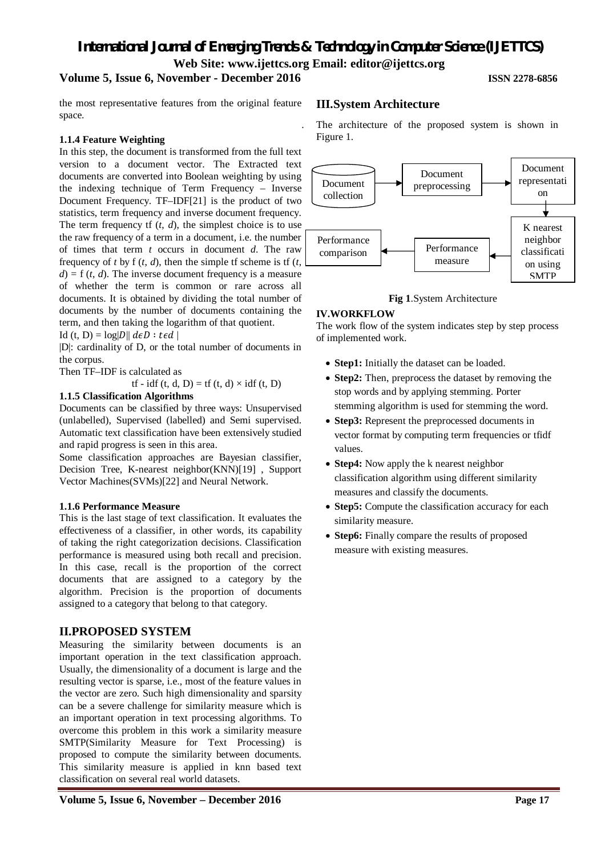# *International Journal of Emerging Trends & Technology in Computer Science (IJETTCS)*

# **Web Site: www.ijettcs.org Email: editor@ijettcs.org**

## **Volume 5, Issue 6, November - December 2016 ISSN 2278-6856**

#### the most representative features from the original feature space.

#### **1.1.4 Feature Weighting**

In this step, the document is transformed from the full text version to a document vector. The Extracted text documents are converted into Boolean weighting by using the indexing technique of Term Frequency – Inverse Document Frequency. TF–IDF[21] is the product of two statistics, term frequency and inverse document frequency. The term frequency if  $(t, d)$ , the simplest choice is to use the raw frequency of a term in a document, i.e. the number of times that term *t* occurs in document *d*. The raw frequency of *t* by  $f(t, d)$ , then the simple  $f$  scheme is  $f(t, d)$  $d = f(t, d)$ . The inverse document frequency is a measure of whether the term is common or rare across all documents. It is obtained by dividing the total number of documents by the number of documents containing the term, and then taking the logarithm of that quotient.

Id (t, D) =  $log|D|| d\epsilon D : t\epsilon d$ 

|D|: cardinality of D, or the total number of documents in the corpus.

Then TF–IDF is calculated as

tf - idf (t, d, D) = tf (t, d)  $\times$  idf (t, D)

#### **1.1.5 Classification Algorithms**

Documents can be classified by three ways: Unsupervised (unlabelled), Supervised (labelled) and Semi supervised. Automatic text classification have been extensively studied and rapid progress is seen in this area.

Some classification approaches are Bayesian classifier, Decision Tree, K-nearest neighbor(KNN)[19] , Support Vector Machines(SVMs)[22] and Neural Network.

#### **1.1.6 Performance Measure**

This is the last stage of text classification. It evaluates the effectiveness of a classifier, in other words, its capability of taking the right categorization decisions. Classification performance is measured using both recall and precision. In this case, recall is the proportion of the correct documents that are assigned to a category by the algorithm. Precision is the proportion of documents assigned to a category that belong to that category.

#### **II.PROPOSED SYSTEM**

Measuring the similarity between documents is an important operation in the text classification approach. Usually, the dimensionality of a document is large and the resulting vector is sparse, i.e., most of the feature values in the vector are zero. Such high dimensionality and sparsity can be a severe challenge for similarity measure which is an important operation in text processing algorithms. To overcome this problem in this work a similarity measure SMTP(Similarity Measure for Text Processing) is proposed to compute the similarity between documents. This similarity measure is applied in knn based text classification on several real world datasets.

#### **III.System Architecture**

. The architecture of the proposed system is shown in Figure 1.



#### **Fig 1**.System Architecture

#### **IV.WORKFLOW**

The work flow of the system indicates step by step process of implemented work.

- **Step1:** Initially the dataset can be loaded.
- **Step2:** Then, preprocess the dataset by removing the stop words and by applying stemming. Porter stemming algorithm is used for stemming the word.
- **Step3:** Represent the preprocessed documents in vector format by computing term frequencies or tfidf values.
- **Step4:** Now apply the k nearest neighbor classification algorithm using different similarity measures and classify the documents.
- **Step5:** Compute the classification accuracy for each similarity measure.
- **Step6:** Finally compare the results of proposed measure with existing measures.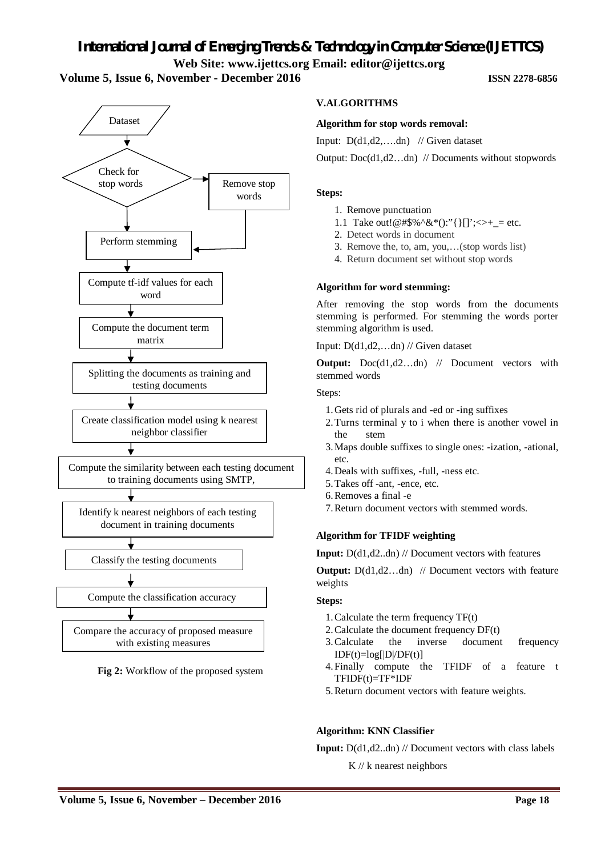# *International Journal of Emerging Trends & Technology in Computer Science (IJETTCS)* **Web Site: www.ijettcs.org Email: editor@ijettcs.org**

### **Volume 5, Issue 6, November - December 2016 ISSN 2278-6856**



**Fig 2:** Workflow of the proposed system

#### **V.ALGORITHMS**

#### **Algorithm for stop words removal:**

Input:  $D(d1, d2, \ldots, dn)$  // Given dataset

Output: Doc(d1,d2…dn) // Documents without stopwords

#### **Steps:**

- 1. Remove punctuation
- 1.1 Take out!@#\$%^&\*():"{}[]';<>+\_= etc.
- 2. Detect words in document
- 3. Remove the, to, am, you,…(stop words list)
- 4. Return document set without stop words

#### **Algorithm for word stemming:**

After removing the stop words from the documents stemming is performed. For stemming the words porter stemming algorithm is used.

Input: D(d1,d2,…dn) // Given dataset

**Output:** Doc(d1,d2…dn) // Document vectors with stemmed words

Steps:

- 1.Gets rid of plurals and -ed or -ing suffixes
- 2.Turns terminal y to i when there is another vowel in the stem
- 3.Maps double suffixes to single ones: -ization, -ational, etc.
- 4.Deals with suffixes, -full, -ness etc.
- 5.Takes off -ant, -ence, etc.
- 6.Removes a final -e
- 7.Return document vectors with stemmed words.

#### **Algorithm for TFIDF weighting**

**Input:** D(d1,d2..dn) // Document vectors with features

**Output:**  $D(d1, d2...dn)$  // Document vectors with feature weights

#### **Steps:**

- 1.Calculate the term frequency TF(t)
- 2.Calculate the document frequency DF(t)
- 3.Calculate the inverse document frequency  $IDF(t)=log[|D|/DF(t)]$
- 4.Finally compute the TFIDF of a feature t TFIDF(t)=TF\*IDF
- 5.Return document vectors with feature weights.

#### **Algorithm: KNN Classifier**

**Input:** D(d1,d2..dn) // Document vectors with class labels

K // k nearest neighbors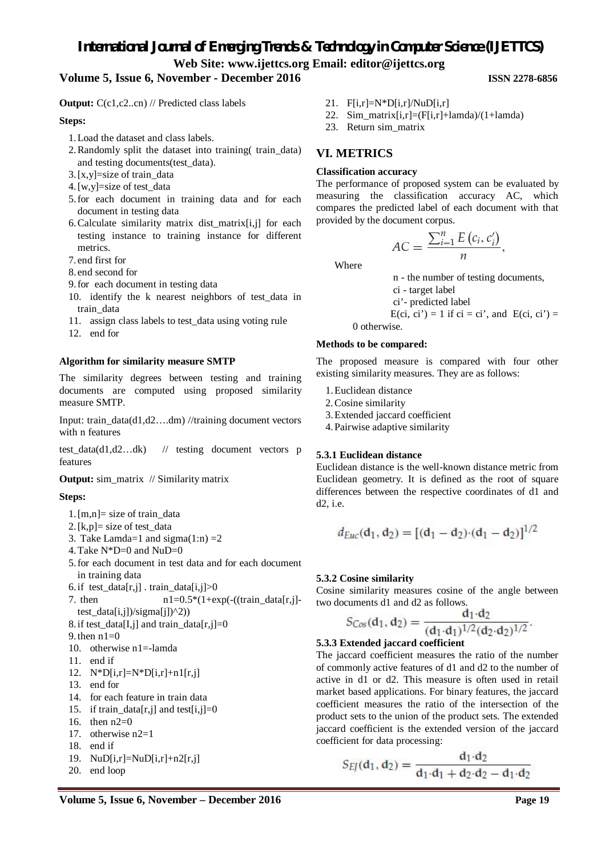### **Volume 5, Issue 6, November - December 2016 ISSN 2278-6856**

**Output:** C(c1,c2..cn) // Predicted class labels

#### **Steps:**

- 1.Load the dataset and class labels.
- 2.Randomly split the dataset into training( train\_data) and testing documents(test\_data).
- $3. [x,y] = size of train data$
- 4.[w,y]=size of test\_data
- 5.for each document in training data and for each document in testing data
- 6.Calculate similarity matrix dist\_matrix[i,j] for each testing instance to training instance for different metrics.
- 7. end first for
- 8. end second for
- 9.for each document in testing data
- 10. identify the k nearest neighbors of test\_data in train\_data
- 11. assign class labels to test\_data using voting rule
- 12. end for

#### **Algorithm for similarity measure SMTP**

The similarity degrees between testing and training documents are computed using proposed similarity measure SMTP.

Input: train\_data(d1,d2….dm) //training document vectors with n features

test\_data(d1,d2…dk) // testing document vectors p features

#### **Output:** sim\_matrix // Similarity matrix

#### **Steps:**

- 1.  $[m,n] = size of train data$
- 2.[k,p]= size of test\_data
- 3. Take Lamda=1 and sigma $(1:n)$ =2
- 4.Take N\*D=0 and NuD=0
- 5.for each document in test data and for each document in training data
- 6. if test\_data[r,j] . train\_data[i,j] $>0$
- 7. then  $n1=0.5*(1+\exp(-((\text{train_data}[r,j]$ test\_data[i,j])/sigma[j])^2))
- 8. if test\_data[I,j] and train\_data[r,j]=0
- 9. then  $n1=0$
- 10. otherwise n1=-lamda
- 11. end if
- 12.  $N^*D[i,r]=N^*D[i,r]+n1[r,j]$
- 13. end for
- 14. for each feature in train data
- 15. if train\_data[r,j] and test[i,j]=0
- 16. then n2=0
- 17. otherwise n2=1
- 18. end if
- 19.  $NuD[i,r]=NuD[i,r]+n2[r,j]$
- 20. end loop
- 21.  $F[i,r]=N*D[i,r]/NuD[i,r]$
- 22. Sim\_matrix $[i,r] = (F[i,r]+lambda)/(1+lambda)$
- 23. Return sim\_matrix

## **VI. METRICS**

#### **Classification accuracy**

The performance of proposed system can be evaluated by measuring the classification accuracy AC, which compares the predicted label of each document with that provided by the document corpus.

$$
AC = \frac{\sum_{i=1}^{n} E\left(c_i, c'_i\right)}{n}
$$

Where

n - the number of testing documents,

- ci target label
- ci'- predicted label

$$
E-ci, ci') = 1 \text{ if ci} = ci', \text{ and } E-ci, ci') = 0 \text{ otherwise}
$$

0 otherwise.

#### **Methods to be compared:**

The proposed measure is compared with four other existing similarity measures. They are as follows:

- 1.Euclidean distance
- 2.Cosine similarity
- 3.Extended jaccard coefficient
- 4.Pairwise adaptive similarity

#### **5.3.1 Euclidean distance**

Euclidean distance is the well-known distance metric from Euclidean geometry. It is defined as the root of square differences between the respective coordinates of d1 and d2, i.e.

$$
d_{Euc}(d_1, d_2) = [(d_1 - d_2) \cdot (d_1 - d_2)]^{1/2}
$$

#### **5.3.2 Cosine similarity**

Cosine similarity measures cosine of the angle between two documents d1 and d2 as follows.

$$
S_{\text{Cos}}(\mathbf{d}_1, \mathbf{d}_2) = \frac{\mathbf{d}_1 \cdot \mathbf{d}_2}{(\mathbf{d}_1 \cdot \mathbf{d}_1)^{1/2} (\mathbf{d}_2 \cdot \mathbf{d}_2)^{1/2}}
$$

#### **5.3.3 Extended jaccard coefficient**

The jaccard coefficient measures the ratio of the number of commonly active features of d1 and d2 to the number of active in d1 or d2. This measure is often used in retail market based applications. For binary features, the jaccard coefficient measures the ratio of the intersection of the product sets to the union of the product sets. The extended jaccard coefficient is the extended version of the jaccard coefficient for data processing:

$$
S_{EJ}(\mathbf{d}_1, \mathbf{d}_2) = \frac{\mathbf{d}_1 \cdot \mathbf{d}_2}{\mathbf{d}_1 \cdot \mathbf{d}_1 + \mathbf{d}_2 \cdot \mathbf{d}_2 - \mathbf{d}_1 \cdot \mathbf{d}_2}
$$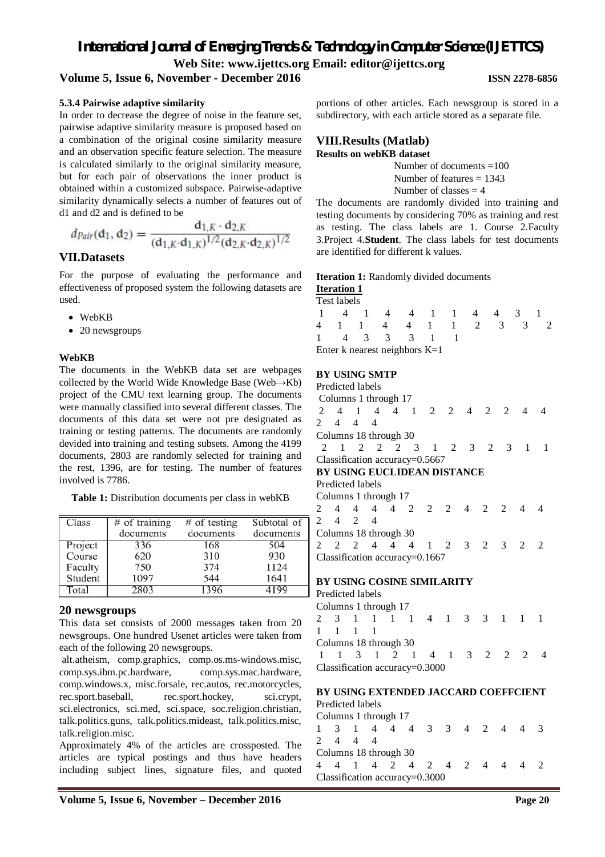### **Volume 5, Issue 6, November - December 2016 ISSN 2278-6856**

#### **5.3.4 Pairwise adaptive similarity**

In order to decrease the degree of noise in the feature set, pairwise adaptive similarity measure is proposed based on a combination of the original cosine similarity measure and an observation specific feature selection. The measure is calculated similarly to the original similarity measure, but for each pair of observations the inner product is obtained within a customized subspace. Pairwise-adaptive similarity dynamically selects a number of features out of d1 and d2 and is defined to be

$$
d_{Pair}(\mathbf{d}_1, \mathbf{d}_2) = \frac{\mathbf{d}_{1,K} \cdot \mathbf{d}_{2,K}}{(\mathbf{d}_{1,K} \cdot \mathbf{d}_{1,K})^{1/2} (\mathbf{d}_{2,K} \cdot \mathbf{d}_{2,K})^{1/2}}
$$

#### **VII.Datasets**

For the purpose of evaluating the performance and effectiveness of proposed system the following datasets are used.

- WebKB
- 20 newsgroups

#### **WebKB**

The documents in the WebKB data set are webpages collected by the World Wide Knowledge Base (Web→Kb) project of the CMU text learning group. The documents were manually classified into several different classes. The documents of this data set were not pre designated as training or testing patterns. The documents are randomly devided into training and testing subsets. Among the 4199 documents, 2803 are randomly selected for training and the rest, 1396, are for testing. The number of features involved is 7786.

Table 1: Distribution documents per class in webKB

| Class   | $#$ of training | $#$ of testing | Subtotal of |
|---------|-----------------|----------------|-------------|
|         | documents       | documents      | documents   |
| Project | 336             | 168            | 504         |
| Course  | 620             | 310            | 930         |
| Faculty | 750             | 374            | 1124        |
| Student | 1097            | 544            | 1641        |
| Total   | 2803            | 396            |             |

### **20 newsgroups**

This data set consists of 2000 messages taken from 20 newsgroups. One hundred Usenet articles were taken from each of the following 20 newsgroups.

alt.atheism, comp.graphics, comp.os.ms-windows.misc, comp.sys.ibm.pc.hardware, comp.sys.mac.hardware, comp.windows.x, misc.forsale, rec.autos, rec.motorcycles, rec.sport.baseball, rec.sport.hockey, sci.crypt, sci.electronics, sci.med, sci.space, soc.religion.christian, talk.politics.guns, talk.politics.mideast, talk.politics.misc, talk.religion.misc.

Approximately 4% of the articles are crossposted. The articles are typical postings and thus have headers including subject lines, signature files, and quoted

portions of other articles. Each newsgroup is stored in a subdirectory, with each article stored as a separate file.

# **VIII.Results (Matlab)**

**Results on webKB dataset** 

 Number of documents =100 Number of features  $= 1343$ Number of classes  $= 4$ 

The documents are randomly divided into training and testing documents by considering 70% as training and rest as testing. The class labels are 1. Course 2.Faculty 3.Project 4.**Student**. The class labels for test documents are identified for different k values.

#### **Iteration 1:** Randomly divided documents **Iteration 1**

#### Test labels

|  |  | 1 4 1 4 4 1 1 4 4 3               |  |  |                     |  |
|--|--|-----------------------------------|--|--|---------------------|--|
|  |  |                                   |  |  | 4 1 1 4 4 1 1 2 3 3 |  |
|  |  | 1 4 3 3 3 1 1                     |  |  |                     |  |
|  |  | Enter $k$ nearest neighbors $K=1$ |  |  |                     |  |

#### **BY USING SMTP**

|    | Predicted labels                   |  |  |  |       |                |  |
|----|------------------------------------|--|--|--|-------|----------------|--|
|    | Columns 1 through 17               |  |  |  |       |                |  |
|    | 2 4 1 4 4 1 2 2 4 2 2 4            |  |  |  |       |                |  |
|    | 2 4 4 4                            |  |  |  |       |                |  |
|    | Columns 18 through 30              |  |  |  |       |                |  |
| -2 | 1 2 2 2 3 1 2 3 2 3                |  |  |  |       | $\blacksquare$ |  |
|    | Classification accuracy= $0.5667$  |  |  |  |       |                |  |
|    | <b>BY USING EUCLIDEAN DISTANCE</b> |  |  |  |       |                |  |
|    | Predicted labels                   |  |  |  |       |                |  |
|    | Columns 1 through 17               |  |  |  |       |                |  |
|    | 2 4 4 4 4 2 2 2 4 2 2 4            |  |  |  |       |                |  |
|    | $2 \t 4 \t 2 \t 4$                 |  |  |  |       |                |  |
|    | Columns 18 through 30              |  |  |  |       |                |  |
|    | 2 2 2 4 4 4 1 2                    |  |  |  | 3 2 3 | $\overline{2}$ |  |
|    | Classification accuracy=0.1667     |  |  |  |       |                |  |

#### **BY USING COSINE SIMILARITY**

Predicted labels Columns 1 through 17 2 3 1 1 1 1 4 1 3 3 1 1 1 1 1 1 1 Columns 18 through 30 1 1 3 1 2 1 4 1 3 2 2 2 4 Classification accuracy=0.3000

### **BY USING EXTENDED JACCARD COEFFCIENT**

Predicted labels Columns 1 through 17 1 3 1 4 4 4 3 3 4 2 4 4 3 2 4 4 4 Columns 18 through 30 4 4 1 4 2 4 2 4 2 4 4 4 2 Classification accuracy=0.3000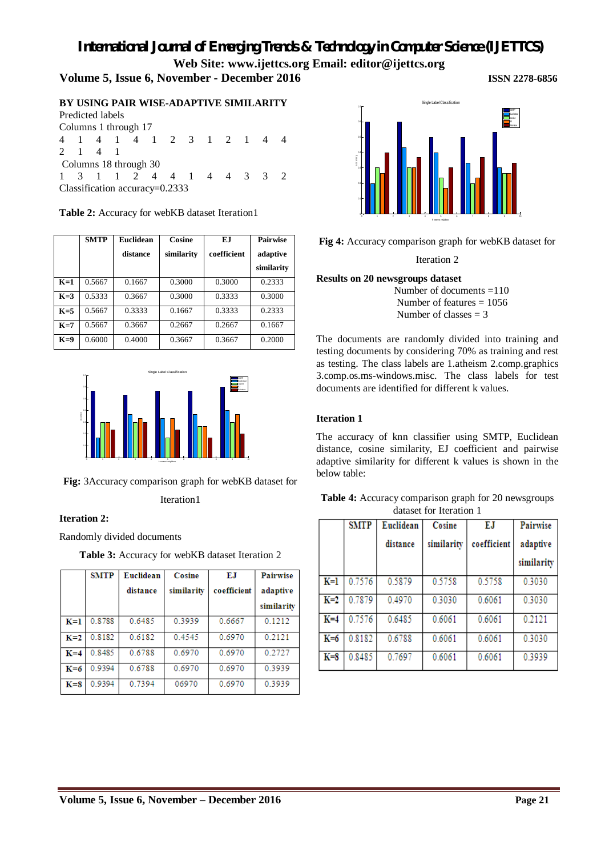# *International Journal of Emerging Trends & Technology in Computer Science (IJETTCS)*

**Web Site: www.ijettcs.org Email: editor@ijettcs.org** 

# **Volume 5, Issue 6, November - December 2016 ISSN 2278-6856**

**BY USING PAIR WISE-ADAPTIVE SIMILARITY** Predicted labels Columns 1 through 17 4 1 4 1 4 1 2 3 1 2 1 4 4 2 1 4 1 Columns 18 through 30 1 3 1 1 2 4 4 1 4 4 3 3 2

Classification accuracy=0.2333

|       | <b>SMTP</b> | <b>Euclidean</b> | Cosine     | E.I         | <b>Pairwise</b> |
|-------|-------------|------------------|------------|-------------|-----------------|
|       |             | distance         | similarity | coefficient | adaptive        |
|       |             |                  |            |             | similarity      |
| $K=1$ | 0.5667      | 0.1667           | 0.3000     | 0.3000      | 0.2333          |
| $K=3$ | 0.5333      | 0.3667           | 0.3000     | 0.3333      | 0.3000          |
| $K=5$ | 0.5667      | 0.3333           | 0.1667     | 0.3333      | 0.2333          |
| $K=7$ | 0.5667      | 0.3667           | 0.2667     | 0.2667      | 0.1667          |
| $K=9$ | 0.6000      | 0.4000           | 0.3667     | 0.3667      | 0.2000          |

**Table 2:** Accuracy for webKB dataset Iteration1



**Fig:** 3Accuracy comparison graph for webKB dataset for

Iteration1

#### **Iteration 2:**

Randomly divided documents

**Table 3:** Accuracy for webKB dataset Iteration 2

|         | <b>SMTP</b> | Euclidean | Cosine     | ЕJ          | <b>Pairwise</b> |
|---------|-------------|-----------|------------|-------------|-----------------|
|         |             | distance  | similarity | coefficient | adaptive        |
|         |             |           |            |             | similarity      |
| $K=1$   | 0.8788      | 0.6485    | 0.3939     | 0.6667      | 0.1212          |
| $K=2$   | 0.8182      | 0.6182    | 04545      | 0.6970      | 0.2121          |
| $K = 4$ | 0.8485      | 0.6788    | 0.6970     | 0.6970      | 0.2727          |
| $K=6$   | 0.9394      | 0.6788    | 0.6970     | 0.6970      | 0.3939          |
| $K = S$ | 0.9394      | 0.7394    | 06970      | 0.6970      | 0.3939          |



**Fig 4:** Accuracy comparison graph for webKB dataset for

Iteration 2

#### **Results on 20 newsgroups dataset**

 Number of documents =110 Number of features  $= 1056$ Number of classes  $= 3$ 

The documents are randomly divided into training and testing documents by considering 70% as training and rest as testing. The class labels are 1.atheism 2.comp.graphics 3.comp.os.ms-windows.misc. The class labels for test documents are identified for different k values.

#### **Iteration 1**

The accuracy of knn classifier using SMTP, Euclidean distance, cosine similarity, EJ coefficient and pairwise adaptive similarity for different k values is shown in the below table:

|  |                         |  | <b>Table 4:</b> Accuracy comparison graph for 20 newsgroups |  |
|--|-------------------------|--|-------------------------------------------------------------|--|
|  | dataset for Iteration 1 |  |                                                             |  |

|       | <b>SMTP</b> | Euclidean | Cosine     | ЕJ          | Pairwise   |
|-------|-------------|-----------|------------|-------------|------------|
|       |             | distance  | similarity | coefficient | adaptive   |
|       |             |           |            |             | similarity |
| $K=1$ | 0.7576      | 0.5879    | 0.5758     | 0.5758      | 0.3030     |
| $K=2$ | 0.7879      | 0.4970    | 0.3030     | 0.6061      | 0.3030     |
| $K=4$ | 0.7576      | 0.6485    | 0.6061     | 0.6061      | 0.2121     |
| $K=6$ | 0.8182      | 0.6788    | 0.6061     | 0.6061      | 0.3030     |
| $K=8$ | 0.8485      | 0.7697    | 0.6061     | 0.6061      | 0.3939     |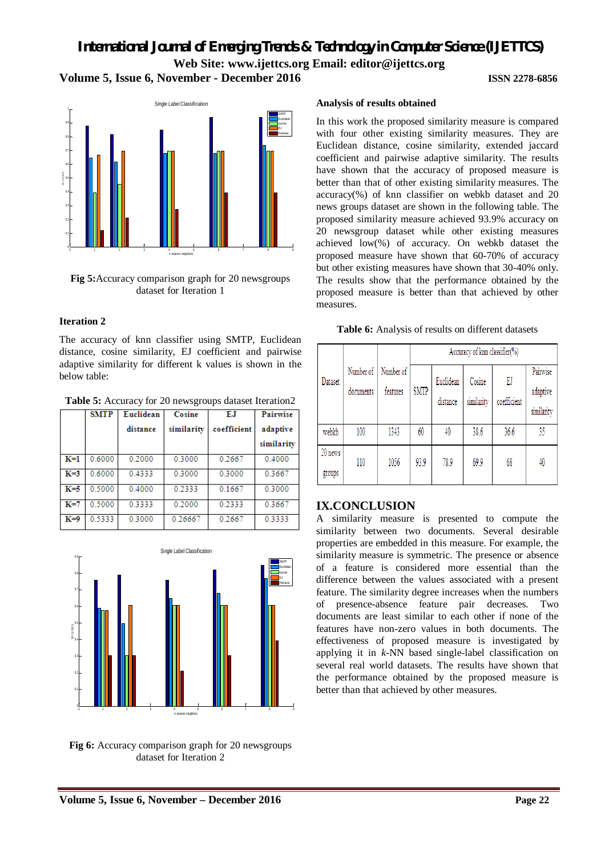# *International Journal of Emerging Trends & Technology in Computer Science (IJETTCS)* **Web Site: www.ijettcs.org Email: editor@ijettcs.org Volume 5, Issue 6, November - December 2016 ISSN 2278-6856**



**Fig 5:**Accuracy comparison graph for 20 newsgroups dataset for Iteration 1

#### **Iteration 2**

The accuracy of knn classifier using SMTP, Euclidean distance, cosine similarity, EJ coefficient and pairwise adaptive similarity for different k values is shown in the below table:

**Table 5:** Accuracy for 20 newsgroups dataset Iteration2

|       | <b>SMTP</b> | Euclidean | Cosine     | ЕJ          | Pairwise   |
|-------|-------------|-----------|------------|-------------|------------|
|       |             | distance  | similarity | coefficient | adaptive   |
|       |             |           |            |             | similarity |
| $K=1$ | 0.6000      | 0.2000    | 0.3000     | 0.2667      | 0.4000     |
| $K=3$ | 0.6000      | 0.4333    | 0.3000     | 0.3000      | 0.3667     |
| $K=5$ | 0.5000      | 0.4000    | 0.2333     | 0.1667      | 0.3000     |
| $K=7$ | 0.5000      | 0.3333    | 0.2000     | 0.2333      | 0.3667     |
| $K=9$ | 0.5333      | 0.3000    | 0.26667    | 0.2667      | 0.3333     |



**Fig 6:** Accuracy comparison graph for 20 newsgroups dataset for Iteration 2

#### **Analysis of results obtained**

In this work the proposed similarity measure is compared with four other existing similarity measures. They are Euclidean distance, cosine similarity, extended jaccard coefficient and pairwise adaptive similarity. The results have shown that the accuracy of proposed measure is better than that of other existing similarity measures. The accuracy(%) of knn classifier on webkb dataset and 20 news groups dataset are shown in the following table. The proposed similarity measure achieved 93.9% accuracy on 20 newsgroup dataset while other existing measures achieved low(%) of accuracy. On webkb dataset the proposed measure have shown that 60-70% of accuracy but other existing measures have shown that 30-40% only. The results show that the performance obtained by the proposed measure is better than that achieved by other measures.

#### **Table 6:** Analysis of results on different datasets

|                   |                        |                       | Accuracy of knn classifier(%) |                       |                      |                   |                                    |  |  |
|-------------------|------------------------|-----------------------|-------------------------------|-----------------------|----------------------|-------------------|------------------------------------|--|--|
| Dataset           | Number of<br>documents | Number of<br>features | <b>SMTP</b>                   | Euclidean<br>distance | Cosine<br>similarity | EJ<br>coefficient | Pairwise<br>adaptive<br>similarity |  |  |
| webkb             | 100                    | 1343                  | 60                            | 40                    | 38.6                 | 36.6              | 35                                 |  |  |
| 20 news<br>groups | 110                    | 1056                  | 93.9                          | 78.9                  | 69.9                 | 68                | 40                                 |  |  |

### **IX.CONCLUSION**

A similarity measure is presented to compute the similarity between two documents. Several desirable properties are embedded in this measure. For example, the similarity measure is symmetric. The presence or absence of a feature is considered more essential than the difference between the values associated with a present feature. The similarity degree increases when the numbers of presence-absence feature pair decreases. Two documents are least similar to each other if none of the features have non-zero values in both documents. The effectiveness of proposed measure is investigated by applying it in *k*-NN based single-label classification on several real world datasets. The results have shown that the performance obtained by the proposed measure is better than that achieved by other measures.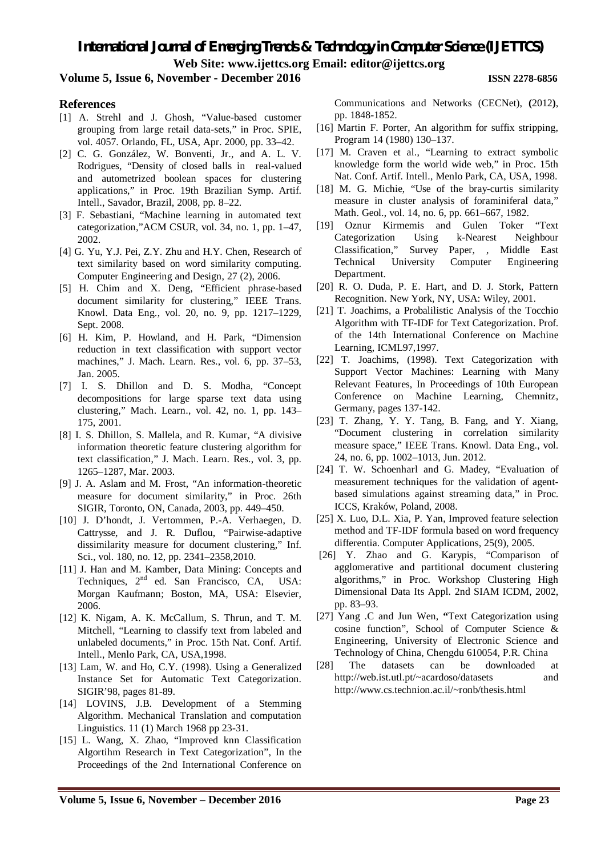*International Journal of Emerging Trends & Technology in Computer Science (IJETTCS)* **Web Site: www.ijettcs.org Email: editor@ijettcs.org** 

#### **Volume 5, Issue 6, November - December 2016 ISSN 2278-6856**

#### **References**

- [1] A. Strehl and J. Ghosh, "Value-based customer grouping from large retail data-sets," in Proc. SPIE, vol. 4057. Orlando, FL, USA, Apr. 2000, pp. 33–42.
- [2] C. G. González, W. Bonventi, Jr., and A. L. V. Rodrigues, "Density of closed balls in real-valued and autometrized boolean spaces for clustering applications," in Proc. 19th Brazilian Symp. Artif. Intell., Savador, Brazil, 2008, pp. 8–22.
- [3] F. Sebastiani, "Machine learning in automated text categorization,"ACM CSUR, vol. 34, no. 1, pp. 1–47, 2002.
- [4] G. Yu, Y.J. Pei, Z.Y. Zhu and H.Y. Chen, Research of text similarity based on word similarity computing. Computer Engineering and Design, 27 (2), 2006.
- [5] H. Chim and X. Deng, "Efficient phrase-based document similarity for clustering," IEEE Trans. Knowl. Data Eng., vol. 20, no. 9, pp. 1217–1229, Sept. 2008.
- [6] H. Kim, P. Howland, and H. Park, "Dimension reduction in text classification with support vector machines," J. Mach. Learn. Res., vol. 6, pp. 37–53, Jan. 2005.
- [7] I. S. Dhillon and D. S. Modha, "Concept decompositions for large sparse text data using clustering," Mach. Learn., vol. 42, no. 1, pp. 143– 175, 2001.
- [8] I. S. Dhillon, S. Mallela, and R. Kumar, "A divisive information theoretic feature clustering algorithm for text classification," J. Mach. Learn. Res., vol. 3, pp. 1265–1287, Mar. 2003.
- [9] J. A. Aslam and M. Frost, "An information-theoretic measure for document similarity," in Proc. 26th SIGIR, Toronto, ON, Canada, 2003, pp. 449–450.
- [10] J. D'hondt, J. Vertommen, P.-A. Verhaegen, D. Cattrysse, and J. R. Duflou, "Pairwise-adaptive dissimilarity measure for document clustering," Inf. Sci., vol. 180, no. 12, pp. 2341–2358,2010.
- [11] J. Han and M. Kamber, Data Mining: Concepts and Techniques, 2<sup>nd</sup> ed. San Francisco, CA, USA: Morgan Kaufmann; Boston, MA, USA: Elsevier, 2006.
- [12] K. Nigam, A. K. McCallum, S. Thrun, and T. M. Mitchell, "Learning to classify text from labeled and unlabeled documents," in Proc. 15th Nat. Conf. Artif. Intell., Menlo Park, CA, USA,1998.
- [13] Lam, W. and Ho, C.Y. (1998). Using a Generalized Instance Set for Automatic Text Categorization. SIGIR'98, pages 81-89.
- [14] LOVINS, J.B. Development of a Stemming Algorithm. Mechanical Translation and computation Linguistics. 11 (1) March 1968 pp 23-31.
- [15] L. Wang, X. Zhao, "Improved knn Classification Algortihm Research in Text Categorization", In the Proceedings of the 2nd International Conference on

Communications and Networks (CECNet), **(**2012**)**, pp. 1848-1852.

- [16] Martin F. Porter, An algorithm for suffix stripping, Program 14 (1980) 130–137.
- [17] M. Craven et al., "Learning to extract symbolic knowledge form the world wide web," in Proc. 15th Nat. Conf. Artif. Intell., Menlo Park, CA, USA, 1998.
- [18] M. G. Michie, "Use of the bray-curtis similarity measure in cluster analysis of foraminiferal data," Math. Geol., vol. 14, no. 6, pp. 661–667, 1982.
- [19] Oznur Kirmemis and Gulen Toker "Text Categorization Using k-Nearest Neighbour Classification," Survey Paper, , Middle East Technical University Computer Engineering Department.
- [20] R. O. Duda, P. E. Hart, and D. J. Stork, Pattern Recognition. New York, NY, USA: Wiley, 2001.
- [21] T. Joachims, a Probalilistic Analysis of the Tocchio Algorithm with TF-IDF for Text Categorization. Prof. of the 14th International Conference on Machine Learning, ICML97,1997.
- [22] T. Joachims, (1998). Text Categorization with Support Vector Machines: Learning with Many Relevant Features, In Proceedings of 10th European Conference on Machine Learning, Chemnitz, Germany, pages 137-142.
- [23] T. Zhang, Y. Y. Tang, B. Fang, and Y. Xiang, "Document clustering in correlation similarity measure space," IEEE Trans. Knowl. Data Eng., vol. 24, no. 6, pp. 1002–1013, Jun. 2012.
- [24] T. W. Schoenharl and G. Madey, "Evaluation of measurement techniques for the validation of agentbased simulations against streaming data," in Proc. ICCS, Kraków, Poland, 2008.
- [25] X. Luo, D.L. Xia, P. Yan, Improved feature selection method and TF-IDF formula based on word frequency differentia. Computer Applications, 25(9), 2005.
- [26] Y. Zhao and G. Karypis, "Comparison of agglomerative and partitional document clustering algorithms," in Proc. Workshop Clustering High Dimensional Data Its Appl. 2nd SIAM ICDM, 2002, pp. 83–93.
- [27] Yang .C and Jun Wen, **"**Text Categorization using cosine function", School of Computer Science & Engineering, University of Electronic Science and Technology of China, Chengdu 610054, P.R. China
- [28] The datasets can be downloaded at http://web.ist.utl.pt/~acardoso/datasets and http://www.cs.technion.ac.il/~ronb/thesis.html